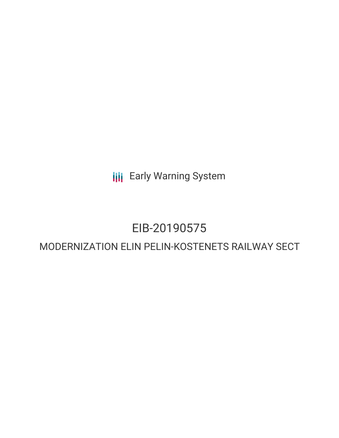**III** Early Warning System

# EIB-20190575

## MODERNIZATION ELIN PELIN-KOSTENETS RAILWAY SECT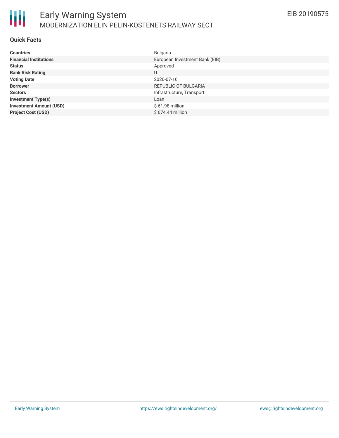

#### **Quick Facts**

| <b>Countries</b>               | <b>Bulgaria</b>                |
|--------------------------------|--------------------------------|
| <b>Financial Institutions</b>  | European Investment Bank (EIB) |
| <b>Status</b>                  | Approved                       |
| <b>Bank Risk Rating</b>        | U                              |
| <b>Voting Date</b>             | 2020-07-16                     |
| <b>Borrower</b>                | REPUBLIC OF BULGARIA           |
| <b>Sectors</b>                 | Infrastructure, Transport      |
| <b>Investment Type(s)</b>      | Loan                           |
| <b>Investment Amount (USD)</b> | $$61.98$ million               |
| <b>Project Cost (USD)</b>      | $$674.44$ million              |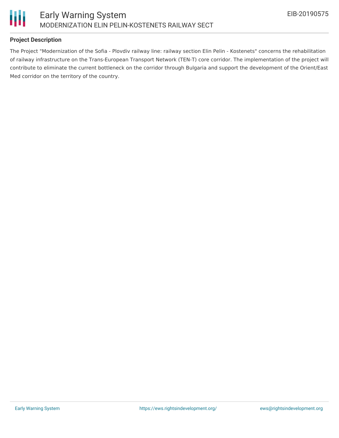

#### **Project Description**

The Project "Modernization of the Sofia - Plovdiv railway line: railway section Elin Pelin - Kostenets" concerns the rehabilitation of railway infrastructure on the Trans-European Transport Network (TEN-T) core corridor. The implementation of the project will contribute to eliminate the current bottleneck on the corridor through Bulgaria and support the development of the Orient/East Med corridor on the territory of the country.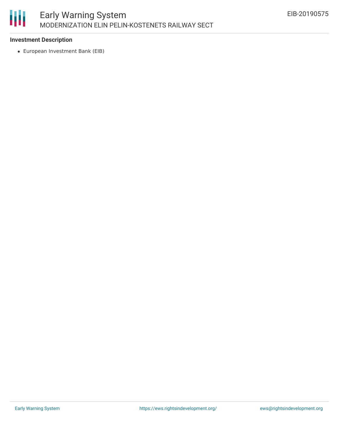

#### **Investment Description**

European Investment Bank (EIB)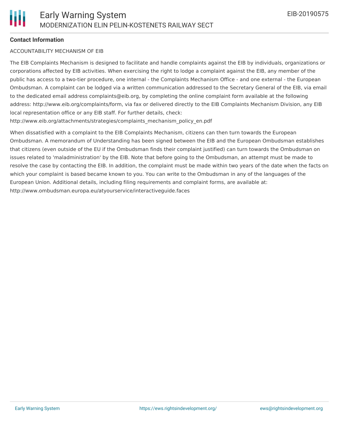#### **Contact Information**

#### ACCOUNTABILITY MECHANISM OF EIB

The EIB Complaints Mechanism is designed to facilitate and handle complaints against the EIB by individuals, organizations or corporations affected by EIB activities. When exercising the right to lodge a complaint against the EIB, any member of the public has access to a two-tier procedure, one internal - the Complaints Mechanism Office - and one external - the European Ombudsman. A complaint can be lodged via a written communication addressed to the Secretary General of the EIB, via email to the dedicated email address complaints@eib.org, by completing the online complaint form available at the following address: http://www.eib.org/complaints/form, via fax or delivered directly to the EIB Complaints Mechanism Division, any EIB local representation office or any EIB staff. For further details, check:

http://www.eib.org/attachments/strategies/complaints\_mechanism\_policy\_en.pdf

When dissatisfied with a complaint to the EIB Complaints Mechanism, citizens can then turn towards the European Ombudsman. A memorandum of Understanding has been signed between the EIB and the European Ombudsman establishes that citizens (even outside of the EU if the Ombudsman finds their complaint justified) can turn towards the Ombudsman on issues related to 'maladministration' by the EIB. Note that before going to the Ombudsman, an attempt must be made to resolve the case by contacting the EIB. In addition, the complaint must be made within two years of the date when the facts on which your complaint is based became known to you. You can write to the Ombudsman in any of the languages of the European Union. Additional details, including filing requirements and complaint forms, are available at: http://www.ombudsman.europa.eu/atyourservice/interactiveguide.faces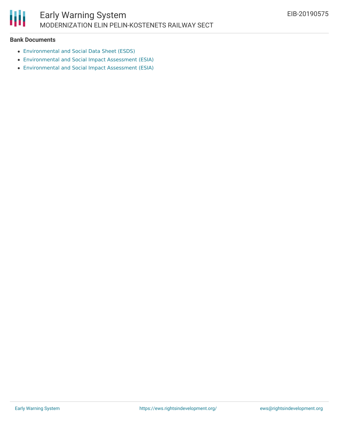

#### **Bank Documents**

- [Environmental](https://www.eib.org/attachments/registers/130957313.pdf) and Social Data Sheet (ESDS)
- [Environmental](https://www.eib.org/attachments/registers/95494127.pdf) and Social Impact Assessment (ESIA)
- [Environmental](https://www.eib.org/attachments/registers/95494635.pdf) and Social Impact Assessment (ESIA)